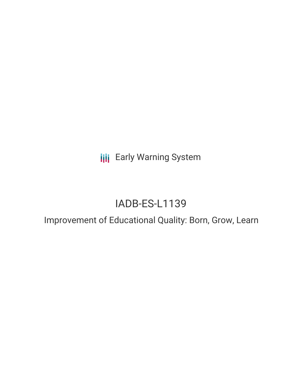**III** Early Warning System

# IADB-ES-L1139

# Improvement of Educational Quality: Born, Grow, Learn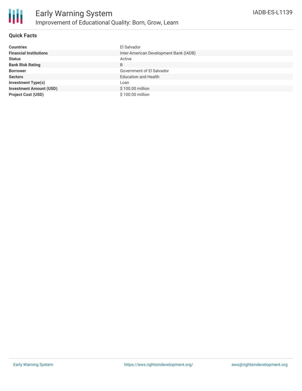

## **Quick Facts**

| <b>Countries</b>               | El Salvador                            |
|--------------------------------|----------------------------------------|
| <b>Financial Institutions</b>  | Inter-American Development Bank (IADB) |
| <b>Status</b>                  | Active                                 |
| <b>Bank Risk Rating</b>        | B                                      |
| <b>Borrower</b>                | Government of El Salvador              |
| <b>Sectors</b>                 | <b>Education and Health</b>            |
| <b>Investment Type(s)</b>      | Loan                                   |
| <b>Investment Amount (USD)</b> | \$100.00 million                       |
| <b>Project Cost (USD)</b>      | \$100.00 million                       |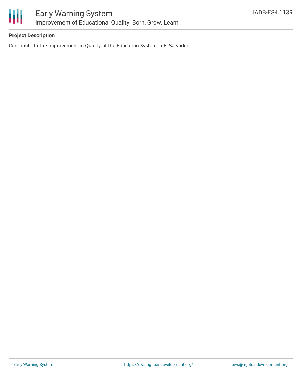

# **Project Description**

Contribute to the Improvement in Quality of the Education System in El Salvador.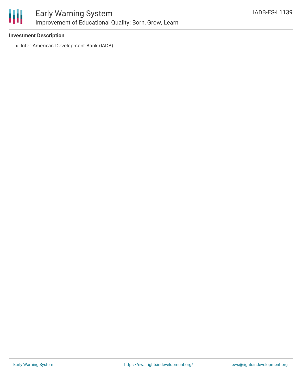

#### **Investment Description**

• Inter-American Development Bank (IADB)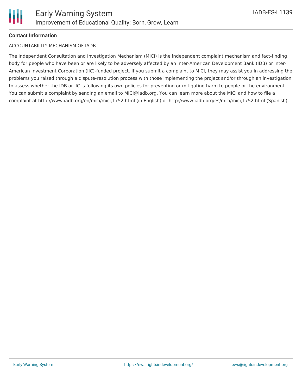# **Contact Information**

#### ACCOUNTABILITY MECHANISM OF IADB

The Independent Consultation and Investigation Mechanism (MICI) is the independent complaint mechanism and fact-finding body for people who have been or are likely to be adversely affected by an Inter-American Development Bank (IDB) or Inter-American Investment Corporation (IIC)-funded project. If you submit a complaint to MICI, they may assist you in addressing the problems you raised through a dispute-resolution process with those implementing the project and/or through an investigation to assess whether the IDB or IIC is following its own policies for preventing or mitigating harm to people or the environment. You can submit a complaint by sending an email to MICI@iadb.org. You can learn more about the MICI and how to file a complaint at http://www.iadb.org/en/mici/mici,1752.html (in English) or http://www.iadb.org/es/mici/mici,1752.html (Spanish).